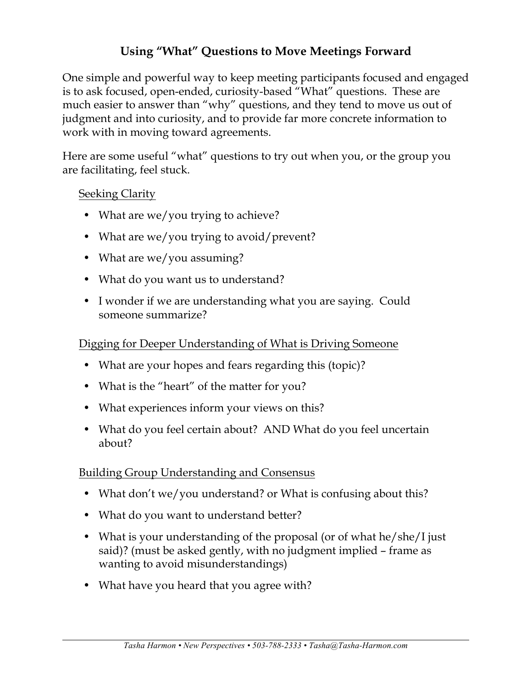# **Using "What" Questions to Move Meetings Forward**

One simple and powerful way to keep meeting participants focused and engaged is to ask focused, open-ended, curiosity-based "What" questions. These are much easier to answer than "why" questions, and they tend to move us out of judgment and into curiosity, and to provide far more concrete information to work with in moving toward agreements.

Here are some useful "what" questions to try out when you, or the group you are facilitating, feel stuck.

## Seeking Clarity

- What are we/you trying to achieve?
- What are we/you trying to avoid/prevent?
- What are we/you assuming?
- What do you want us to understand?
- I wonder if we are understanding what you are saying. Could someone summarize?

## Digging for Deeper Understanding of What is Driving Someone

- What are your hopes and fears regarding this (topic)?
- What is the "heart" of the matter for you?
- What experiences inform your views on this?
- What do you feel certain about? AND What do you feel uncertain about?

## Building Group Understanding and Consensus

- What don't we/you understand? or What is confusing about this?
- What do you want to understand better?
- What is your understanding of the proposal (or of what he/she/I just said)? (must be asked gently, with no judgment implied – frame as wanting to avoid misunderstandings)
- What have you heard that you agree with?